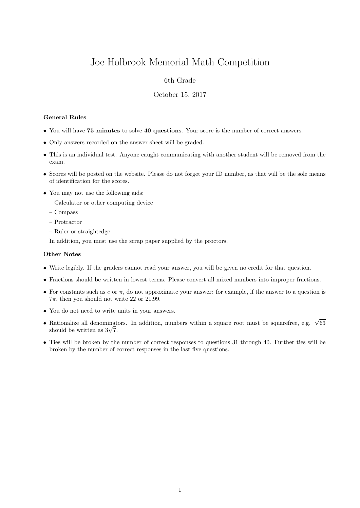# Joe Holbrook Memorial Math Competition

## 6th Grade

### October 15, 2017

#### General Rules

- You will have 75 minutes to solve 40 questions. Your score is the number of correct answers.
- Only answers recorded on the answer sheet will be graded.
- This is an individual test. Anyone caught communicating with another student will be removed from the exam.
- Scores will be posted on the website. Please do not forget your ID number, as that will be the sole means of identification for the scores.
- You may not use the following aids:
	- Calculator or other computing device
	- Compass
	- Protractor
	- Ruler or straightedge

In addition, you must use the scrap paper supplied by the proctors.

#### Other Notes

- Write legibly. If the graders cannot read your answer, you will be given no credit for that question.
- Fractions should be written in lowest terms. Please convert all mixed numbers into improper fractions.
- For constants such as  $e$  or  $\pi$ , do not approximate your answer: for example, if the answer to a question is  $7\pi$ , then you should not write 22 or 21.99.
- You do not need to write units in your answers.
- Rationalize all denominators. In addition, numbers within a square root must be squarefree, e.g.  $\sqrt{63}$  $\kappa$ ationalize all denominat<br>should be written as  $3\sqrt{7}$ .
- Ties will be broken by the number of correct responses to questions 31 through 40. Further ties will be broken by the number of correct responses in the last five questions.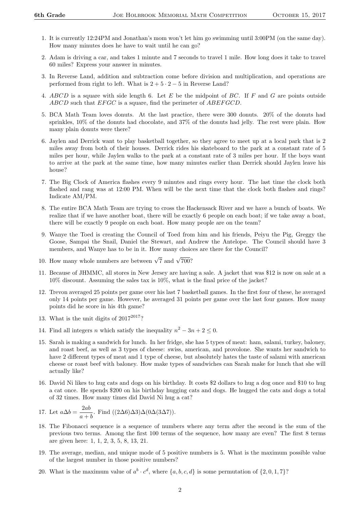- 1. It is currently 12:24PM and Jonathan's mom won't let him go swimming until 3:00PM (on the same day). How many minutes does he have to wait until he can go?
- 2. Adam is driving a car, and takes 1 minute and 7 seconds to travel 1 mile. How long does it take to travel 60 miles? Express your answer in minutes.
- 3. In Reverse Land, addition and subtraction come before division and multiplication, and operations are performed from right to left. What is  $2 + 5 \cdot 2 - 5$  in Reverse Land?
- 4. ABCD is a square with side length 6. Let E be the midpoint of BC. If F and G are points outside ABCD such that  $EFGC$  is a square, find the perimeter of  $ABEFGCD$ .
- 5. BCA Math Team loves donuts. At the last practice, there were 300 donuts. 20% of the donuts had sprinkles, 10% of the donuts had chocolate, and 37% of the donuts had jelly. The rest were plain. How many plain donuts were there?
- 6. Jaylen and Derrick want to play basketball together, so they agree to meet up at a local park that is 2 miles away from both of their houses. Derrick rides his skateboard to the park at a constant rate of 5 miles per hour, while Jaylen walks to the park at a constant rate of 3 miles per hour. If the boys want to arrive at the park at the same time, how many minutes earlier than Derrick should Jaylen leave his house?
- 7. The Big Clock of America flashes every 9 minutes and rings every hour. The last time the clock both flashed and rang was at 12:00 PM. When will be the next time that the clock both flashes and rings? Indicate AM/PM.
- 8. The entire BCA Math Team are trying to cross the Hackensack River and we have a bunch of boats. We realize that if we have another boat, there will be exactly 6 people on each boat; if we take away a boat, there will be exactly 9 people on each boat. How many people are on the team?
- 9. Wanye the Toed is creating the Council of Toed from him and his friends, Peiyu the Pig, Greggy the Goose, Sampai the Snail, Daniel the Stewart, and Andrew the Antelope. The Council should have 3 members, and Wanye has to be in it. How many choices are there for the Council?
- 10. How many whole numbers are between  $\sqrt{7}$  and  $\sqrt{700}$ ?
- 11. Because of JHMMC, all stores in New Jersey are having a sale. A jacket that was \$12 is now on sale at a 10% discount. Assuming the sales tax is 10%, what is the final price of the jacket?
- 12. Trevon averaged 25 points per game over his last 7 basketball games. In the first four of these, he averaged only 14 points per game. However, he averaged 31 points per game over the last four games. How many points did he score in his 4th game?
- 13. What is the unit digits of  $2017^{2017}$ ?
- 14. Find all integers *n* which satisfy the inequality  $n^2 3n + 2 \leq 0$ .
- 15. Sarah is making a sandwich for lunch. In her fridge, she has 5 types of meat: ham, salami, turkey, baloney, and roast beef, as well as 3 types of cheese: swiss, american, and provolone. She wants her sandwich to have 2 different types of meat and 1 type of cheese, but absolutely hates the taste of salami with american cheese or roast beef with baloney. How make types of sandwiches can Sarah make for lunch that she will actually like?
- 16. David Ni likes to hug cats and dogs on his birthday. It costs \$2 dollars to hug a dog once and \$10 to hug a cat once. He spends \$200 on his birthday hugging cats and dogs. He hugged the cats and dogs a total of 32 times. How many times did David Ni hug a cat?

17. Let 
$$
a\Delta b = \frac{2ab}{a+b}
$$
. Find  $((2\Delta 6)\Delta 3)\Delta (0\Delta (3\Delta 7))$ .

- 18. The Fibonacci sequence is a sequence of numbers where any term after the second is the sum of the previous two terms. Among the first 100 terms of the sequence, how many are even? The first 8 terms are given here: 1, 1, 2, 3, 5, 8, 13, 21.
- 19. The average, median, and unique mode of 5 positive numbers is 5. What is the maximum possible value of the largest number in those positive numbers?
- 20. What is the maximum value of  $a^b \cdot c^d$ , where  $\{a, b, c, d\}$  is some permutation of  $\{2, 0, 1, 7\}$ ?